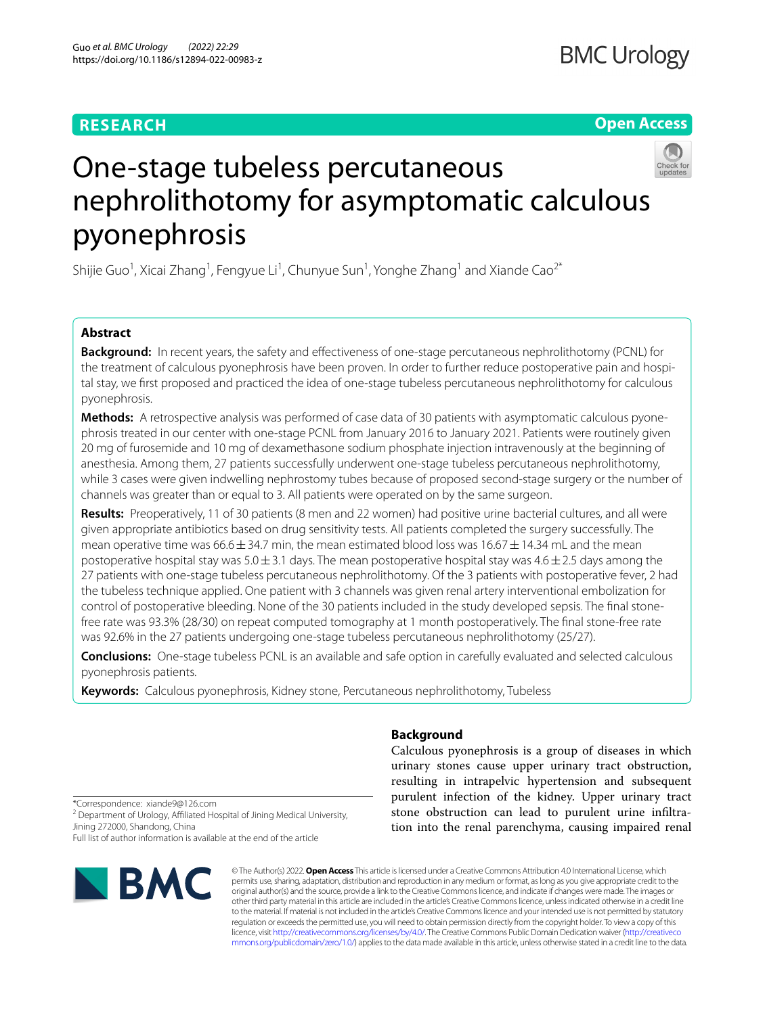# **RESEARCH**

# **Open Access**



# One-stage tubeless percutaneous nephrolithotomy for asymptomatic calculous pyonephrosis

Shijie Guo<sup>1</sup>, Xicai Zhang<sup>1</sup>, Fengyue Li<sup>1</sup>, Chunyue Sun<sup>1</sup>, Yonghe Zhang<sup>1</sup> and Xiande Cao<sup>2\*</sup>

# **Abstract**

**Background:** In recent years, the safety and efectiveness of one-stage percutaneous nephrolithotomy (PCNL) for the treatment of calculous pyonephrosis have been proven. In order to further reduce postoperative pain and hospital stay, we frst proposed and practiced the idea of one-stage tubeless percutaneous nephrolithotomy for calculous pyonephrosis.

**Methods:** A retrospective analysis was performed of case data of 30 patients with asymptomatic calculous pyonephrosis treated in our center with one-stage PCNL from January 2016 to January 2021. Patients were routinely given 20 mg of furosemide and 10 mg of dexamethasone sodium phosphate injection intravenously at the beginning of anesthesia. Among them, 27 patients successfully underwent one-stage tubeless percutaneous nephrolithotomy, while 3 cases were given indwelling nephrostomy tubes because of proposed second-stage surgery or the number of channels was greater than or equal to 3. All patients were operated on by the same surgeon.

**Results:** Preoperatively, 11 of 30 patients (8 men and 22 women) had positive urine bacterial cultures, and all were given appropriate antibiotics based on drug sensitivity tests. All patients completed the surgery successfully. The mean operative time was  $66.6 \pm 34.7$  min, the mean estimated blood loss was  $16.67 \pm 14.34$  mL and the mean postoperative hospital stay was  $5.0 \pm 3.1$  days. The mean postoperative hospital stay was  $4.6 \pm 2.5$  days among the 27 patients with one-stage tubeless percutaneous nephrolithotomy. Of the 3 patients with postoperative fever, 2 had the tubeless technique applied. One patient with 3 channels was given renal artery interventional embolization for control of postoperative bleeding. None of the 30 patients included in the study developed sepsis. The fnal stonefree rate was 93.3% (28/30) on repeat computed tomography at 1 month postoperatively. The fnal stone-free rate was 92.6% in the 27 patients undergoing one-stage tubeless percutaneous nephrolithotomy (25/27).

**Conclusions:** One-stage tubeless PCNL is an available and safe option in carefully evaluated and selected calculous pyonephrosis patients.

**Keywords:** Calculous pyonephrosis, Kidney stone, Percutaneous nephrolithotomy, Tubeless

## **Background**

Calculous pyonephrosis is a group of diseases in which urinary stones cause upper urinary tract obstruction, resulting in intrapelvic hypertension and subsequent purulent infection of the kidney. Upper urinary tract stone obstruction can lead to purulent urine infltration into the renal parenchyma, causing impaired renal

\*Correspondence: xiande9@126.com

<sup>2</sup> Department of Urology, Affiliated Hospital of Jining Medical University, Jining 272000, Shandong, China

Full list of author information is available at the end of the article



© The Author(s) 2022. **Open Access** This article is licensed under a Creative Commons Attribution 4.0 International License, which permits use, sharing, adaptation, distribution and reproduction in any medium or format, as long as you give appropriate credit to the original author(s) and the source, provide a link to the Creative Commons licence, and indicate if changes were made. The images or other third party material in this article are included in the article's Creative Commons licence, unless indicated otherwise in a credit line to the material. If material is not included in the article's Creative Commons licence and your intended use is not permitted by statutory regulation or exceeds the permitted use, you will need to obtain permission directly from the copyright holder. To view a copy of this licence, visit [http://creativecommons.org/licenses/by/4.0/.](http://creativecommons.org/licenses/by/4.0/) The Creative Commons Public Domain Dedication waiver ([http://creativeco](http://creativecommons.org/publicdomain/zero/1.0/) [mmons.org/publicdomain/zero/1.0/](http://creativecommons.org/publicdomain/zero/1.0/)) applies to the data made available in this article, unless otherwise stated in a credit line to the data.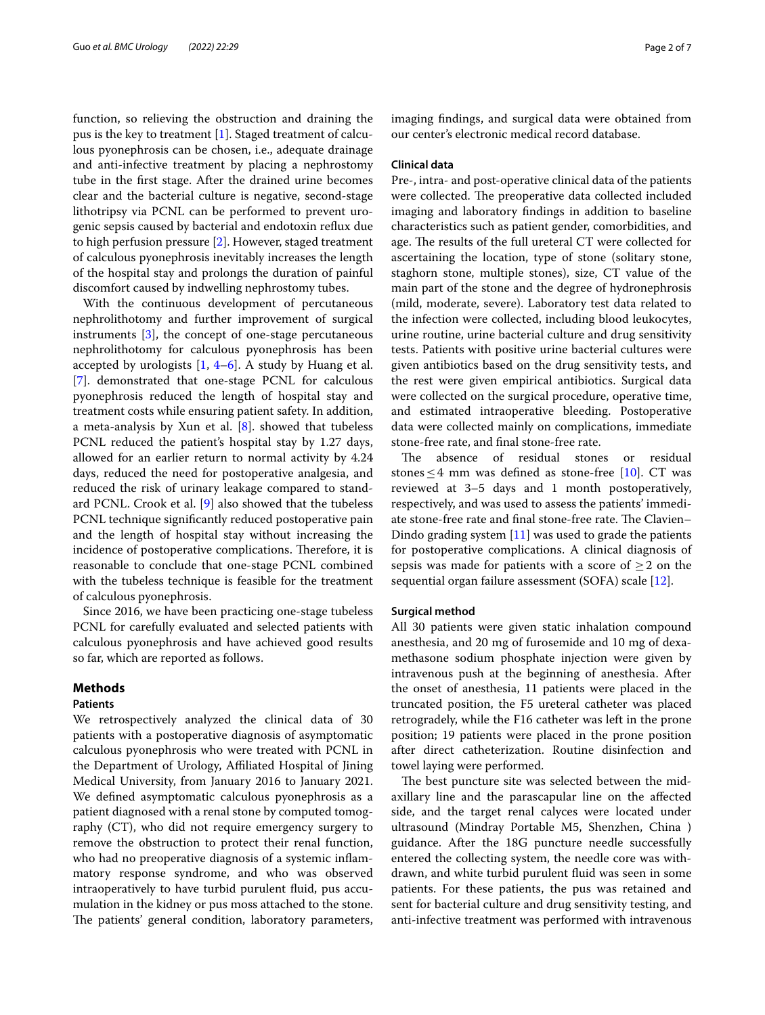function, so relieving the obstruction and draining the pus is the key to treatment [\[1](#page-5-0)]. Staged treatment of calculous pyonephrosis can be chosen, i.e., adequate drainage and anti-infective treatment by placing a nephrostomy tube in the frst stage. After the drained urine becomes clear and the bacterial culture is negative, second-stage lithotripsy via PCNL can be performed to prevent urogenic sepsis caused by bacterial and endotoxin refux due to high perfusion pressure [[2\]](#page-5-1). However, staged treatment of calculous pyonephrosis inevitably increases the length of the hospital stay and prolongs the duration of painful discomfort caused by indwelling nephrostomy tubes.

With the continuous development of percutaneous nephrolithotomy and further improvement of surgical instruments [\[3](#page-5-2)], the concept of one-stage percutaneous nephrolithotomy for calculous pyonephrosis has been accepted by urologists  $[1, 4-6]$  $[1, 4-6]$  $[1, 4-6]$  $[1, 4-6]$  $[1, 4-6]$ . A study by Huang et al. [[7\]](#page-6-1). demonstrated that one-stage PCNL for calculous pyonephrosis reduced the length of hospital stay and treatment costs while ensuring patient safety. In addition, a meta-analysis by Xun et al. [\[8](#page-6-2)]. showed that tubeless PCNL reduced the patient's hospital stay by 1.27 days, allowed for an earlier return to normal activity by 4.24 days, reduced the need for postoperative analgesia, and reduced the risk of urinary leakage compared to standard PCNL. Crook et al. [[9\]](#page-6-3) also showed that the tubeless PCNL technique signifcantly reduced postoperative pain and the length of hospital stay without increasing the incidence of postoperative complications. Therefore, it is reasonable to conclude that one-stage PCNL combined with the tubeless technique is feasible for the treatment of calculous pyonephrosis.

Since 2016, we have been practicing one-stage tubeless PCNL for carefully evaluated and selected patients with calculous pyonephrosis and have achieved good results so far, which are reported as follows.

## **Methods**

### **Patients**

We retrospectively analyzed the clinical data of 30 patients with a postoperative diagnosis of asymptomatic calculous pyonephrosis who were treated with PCNL in the Department of Urology, Afliated Hospital of Jining Medical University, from January 2016 to January 2021. We defned asymptomatic calculous pyonephrosis as a patient diagnosed with a renal stone by computed tomography (CT), who did not require emergency surgery to remove the obstruction to protect their renal function, who had no preoperative diagnosis of a systemic infammatory response syndrome, and who was observed intraoperatively to have turbid purulent fuid, pus accumulation in the kidney or pus moss attached to the stone. The patients' general condition, laboratory parameters, imaging fndings, and surgical data were obtained from our center's electronic medical record database.

## **Clinical data**

Pre-, intra- and post-operative clinical data of the patients were collected. The preoperative data collected included imaging and laboratory fndings in addition to baseline characteristics such as patient gender, comorbidities, and age. The results of the full ureteral CT were collected for ascertaining the location, type of stone (solitary stone, staghorn stone, multiple stones), size, CT value of the main part of the stone and the degree of hydronephrosis (mild, moderate, severe). Laboratory test data related to the infection were collected, including blood leukocytes, urine routine, urine bacterial culture and drug sensitivity tests. Patients with positive urine bacterial cultures were given antibiotics based on the drug sensitivity tests, and the rest were given empirical antibiotics. Surgical data were collected on the surgical procedure, operative time, and estimated intraoperative bleeding. Postoperative data were collected mainly on complications, immediate stone-free rate, and fnal stone-free rate.

The absence of residual stones or residual stones  $\leq$  4 mm was defined as stone-free [[10\]](#page-6-4). CT was reviewed at 3–5 days and 1 month postoperatively, respectively, and was used to assess the patients' immediate stone-free rate and final stone-free rate. The Clavien– Dindo grading system  $[11]$  $[11]$  was used to grade the patients for postoperative complications. A clinical diagnosis of sepsis was made for patients with a score of  $\geq 2$  on the sequential organ failure assessment (SOFA) scale [\[12](#page-6-6)].

## **Surgical method**

All 30 patients were given static inhalation compound anesthesia, and 20 mg of furosemide and 10 mg of dexamethasone sodium phosphate injection were given by intravenous push at the beginning of anesthesia. After the onset of anesthesia, 11 patients were placed in the truncated position, the F5 ureteral catheter was placed retrogradely, while the F16 catheter was left in the prone position; 19 patients were placed in the prone position after direct catheterization. Routine disinfection and towel laying were performed.

The best puncture site was selected between the midaxillary line and the parascapular line on the afected side, and the target renal calyces were located under ultrasound (Mindray Portable M5, Shenzhen, China ) guidance. After the 18G puncture needle successfully entered the collecting system, the needle core was withdrawn, and white turbid purulent fuid was seen in some patients. For these patients, the pus was retained and sent for bacterial culture and drug sensitivity testing, and anti-infective treatment was performed with intravenous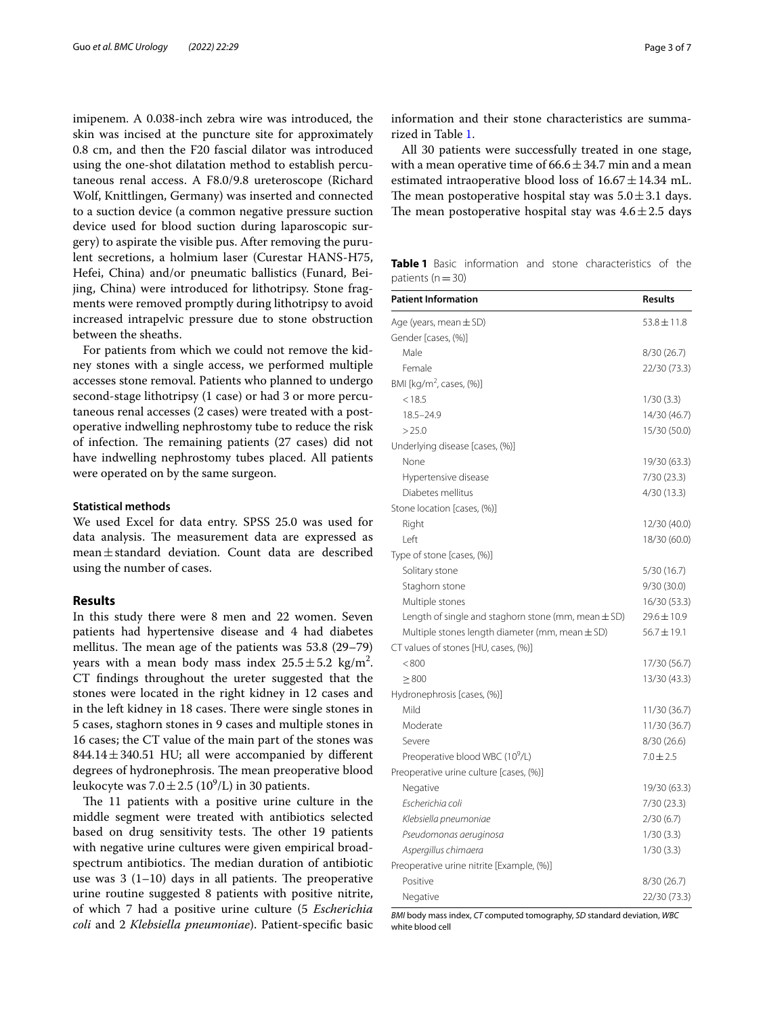imipenem. A 0.038-inch zebra wire was introduced, the skin was incised at the puncture site for approximately 0.8 cm, and then the F20 fascial dilator was introduced using the one-shot dilatation method to establish percutaneous renal access. A F8.0/9.8 ureteroscope (Richard Wolf, Knittlingen, Germany) was inserted and connected to a suction device (a common negative pressure suction device used for blood suction during laparoscopic surgery) to aspirate the visible pus. After removing the purulent secretions, a holmium laser (Curestar HANS-H75, Hefei, China) and/or pneumatic ballistics (Funard, Beijing, China) were introduced for lithotripsy. Stone fragments were removed promptly during lithotripsy to avoid increased intrapelvic pressure due to stone obstruction between the sheaths.

For patients from which we could not remove the kidney stones with a single access, we performed multiple accesses stone removal. Patients who planned to undergo second-stage lithotripsy (1 case) or had 3 or more percutaneous renal accesses (2 cases) were treated with a postoperative indwelling nephrostomy tube to reduce the risk of infection. The remaining patients (27 cases) did not have indwelling nephrostomy tubes placed. All patients were operated on by the same surgeon.

#### **Statistical methods**

We used Excel for data entry. SPSS 25.0 was used for data analysis. The measurement data are expressed as mean±standard deviation. Count data are described using the number of cases.

## **Results**

In this study there were 8 men and 22 women. Seven patients had hypertensive disease and 4 had diabetes mellitus. The mean age of the patients was  $53.8$  (29–79) years with a mean body mass index  $25.5 \pm 5.2$  kg/m<sup>2</sup>. CT fndings throughout the ureter suggested that the stones were located in the right kidney in 12 cases and in the left kidney in 18 cases. There were single stones in 5 cases, staghorn stones in 9 cases and multiple stones in 16 cases; the CT value of the main part of the stones was 844.14±340.51 HU; all were accompanied by diferent degrees of hydronephrosis. The mean preoperative blood leukocyte was  $7.0 \pm 2.5~(10^9)$ L) in 30 patients.

The 11 patients with a positive urine culture in the middle segment were treated with antibiotics selected based on drug sensitivity tests. The other 19 patients with negative urine cultures were given empirical broadspectrum antibiotics. The median duration of antibiotic use was  $3(1-10)$  days in all patients. The preoperative urine routine suggested 8 patients with positive nitrite, of which 7 had a positive urine culture (5 *Escherichia coli* and 2 *Klebsiella pneumoniae*). Patient-specifc basic

information and their stone characteristics are summarized in Table [1.](#page-2-0)

All 30 patients were successfully treated in one stage, with a mean operative time of  $66.6 \pm 34.7$  min and a mean estimated intraoperative blood loss of  $16.67 \pm 14.34$  mL. The mean postoperative hospital stay was  $5.0 \pm 3.1$  days. The mean postoperative hospital stay was  $4.6 \pm 2.5$  days

<span id="page-2-0"></span>**Table 1** Basic information and stone characteristics of the patients ( $n=30$ )

| <b>Patient Information</b>                              | <b>Results</b>  |
|---------------------------------------------------------|-----------------|
| Age (years, mean $\pm$ SD)                              | $53.8 \pm 11.8$ |
| Gender [cases, (%)]                                     |                 |
| Male                                                    | 8/30(26.7)      |
| Female                                                  | 22/30 (73.3)    |
| BMI [kg/m <sup>2</sup> , cases, (%)]                    |                 |
| < 18.5                                                  | 1/30(3.3)       |
| $18.5 - 24.9$                                           | 14/30 (46.7)    |
| >25.0                                                   | 15/30 (50.0)    |
| Underlying disease [cases, (%)]                         |                 |
| None                                                    | 19/30 (63.3)    |
| Hypertensive disease                                    | 7/30(23.3)      |
| Diabetes mellitus                                       | 4/30(13.3)      |
| Stone location [cases, (%)]                             |                 |
| Right                                                   | 12/30 (40.0)    |
| Left                                                    | 18/30 (60.0)    |
| Type of stone [cases, (%)]                              |                 |
| Solitary stone                                          | 5/30(16.7)      |
| Staghorn stone                                          | 9/30(30.0)      |
| Multiple stones                                         | 16/30 (53.3)    |
| Length of single and staghorn stone (mm, mean $\pm$ SD) | $29.6 \pm 10.9$ |
| Multiple stones length diameter (mm, mean $\pm$ SD)     | $56.7 \pm 19.1$ |
| CT values of stones [HU, cases, (%)]                    |                 |
| < 800                                                   | 17/30 (56.7)    |
| $\geq 800$                                              | 13/30 (43.3)    |
| Hydronephrosis [cases, (%)]                             |                 |
| Mild                                                    | 11/30 (36.7)    |
| Moderate                                                | 11/30 (36.7)    |
| Severe                                                  | 8/30(26.6)      |
| Preoperative blood WBC (10 <sup>9</sup> /L)             | $7.0 \pm 2.5$   |
| Preoperative urine culture [cases, (%)]                 |                 |
| Negative                                                | 19/30 (63.3)    |
| Escherichia coli                                        | 7/30(23.3)      |
| Klebsiella pneumoniae                                   | 2/30(6.7)       |
| Pseudomonas aeruginosa                                  | 1/30(3.3)       |
| Aspergillus chimaera                                    | 1/30(3.3)       |
| Preoperative urine nitrite [Example, (%)]               |                 |
| Positive                                                | 8/30(26.7)      |
| Negative                                                | 22/30 (73.3)    |

*BMI* body mass index, *CT* computed tomography, *SD* standard deviation, *WBC* white blood cell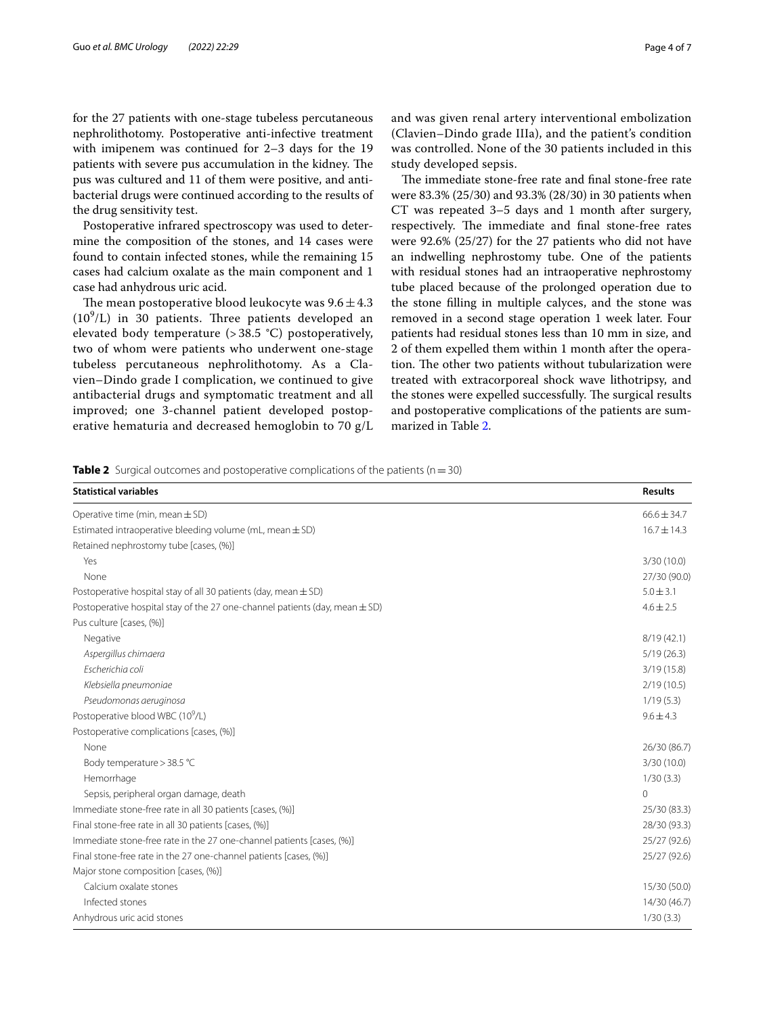for the 27 patients with one-stage tubeless percutaneous nephrolithotomy. Postoperative anti-infective treatment with imipenem was continued for 2–3 days for the 19 patients with severe pus accumulation in the kidney. The pus was cultured and 11 of them were positive, and antibacterial drugs were continued according to the results of the drug sensitivity test.

Postoperative infrared spectroscopy was used to determine the composition of the stones, and 14 cases were found to contain infected stones, while the remaining 15 cases had calcium oxalate as the main component and 1 case had anhydrous uric acid.

The mean postoperative blood leukocyte was  $9.6 \pm 4.3$  $(10<sup>9</sup>/L)$  in 30 patients. Three patients developed an elevated body temperature (> 38.5 °C) postoperatively, two of whom were patients who underwent one-stage tubeless percutaneous nephrolithotomy. As a Clavien–Dindo grade I complication, we continued to give antibacterial drugs and symptomatic treatment and all improved; one 3-channel patient developed postoperative hematuria and decreased hemoglobin to 70 g/L

and was given renal artery interventional embolization (Clavien–Dindo grade IIIa), and the patient's condition was controlled. None of the 30 patients included in this study developed sepsis.

The immediate stone-free rate and final stone-free rate were 83.3% (25/30) and 93.3% (28/30) in 30 patients when CT was repeated 3–5 days and 1 month after surgery, respectively. The immediate and final stone-free rates were 92.6% (25/27) for the 27 patients who did not have an indwelling nephrostomy tube. One of the patients with residual stones had an intraoperative nephrostomy tube placed because of the prolonged operation due to the stone flling in multiple calyces, and the stone was removed in a second stage operation 1 week later. Four patients had residual stones less than 10 mm in size, and 2 of them expelled them within 1 month after the operation. The other two patients without tubularization were treated with extracorporeal shock wave lithotripsy, and the stones were expelled successfully. The surgical results and postoperative complications of the patients are summarized in Table [2](#page-3-0).

<span id="page-3-0"></span>**Table 2** Surgical outcomes and postoperative complications of the patients ( $n=30$ )

| <b>Statistical variables</b>                                                    | <b>Results</b>  |
|---------------------------------------------------------------------------------|-----------------|
| Operative time (min, mean $\pm$ SD)                                             | $66.6 \pm 34.7$ |
| Estimated intraoperative bleeding volume (mL, mean $\pm$ SD)                    | $16.7 \pm 14.3$ |
| Retained nephrostomy tube [cases, (%)]                                          |                 |
| Yes                                                                             | 3/30(10.0)      |
| None                                                                            | 27/30 (90.0)    |
| Postoperative hospital stay of all 30 patients (day, mean $\pm$ SD)             | $5.0 \pm 3.1$   |
| Postoperative hospital stay of the 27 one-channel patients (day, mean $\pm$ SD) | $4.6 \pm 2.5$   |
| Pus culture [cases, (%)]                                                        |                 |
| Negative                                                                        | 8/19(42.1)      |
| Aspergillus chimaera                                                            | 5/19(26.3)      |
| Escherichia coli                                                                | 3/19(15.8)      |
| Klebsiella pneumoniae                                                           | 2/19(10.5)      |
| Pseudomonas aeruginosa                                                          | 1/19(5.3)       |
| Postoperative blood WBC (10 <sup>9</sup> /L)                                    | $9.6 \pm 4.3$   |
| Postoperative complications [cases, (%)]                                        |                 |
| None                                                                            | 26/30 (86.7)    |
| Body temperature > 38.5 °C                                                      | 3/30(10.0)      |
| Hemorrhage                                                                      | 1/30(3.3)       |
| Sepsis, peripheral organ damage, death                                          | $\circ$         |
| Immediate stone-free rate in all 30 patients [cases, (%)]                       | 25/30 (83.3)    |
| Final stone-free rate in all 30 patients [cases, (%)]                           | 28/30 (93.3)    |
| Immediate stone-free rate in the 27 one-channel patients [cases, (%)]           | 25/27 (92.6)    |
| Final stone-free rate in the 27 one-channel patients [cases, (%)]               | 25/27 (92.6)    |
| Major stone composition [cases, (%)]                                            |                 |
| Calcium oxalate stones                                                          | 15/30 (50.0)    |
| Infected stones                                                                 | 14/30 (46.7)    |
| Anhydrous uric acid stones                                                      | 1/30(3.3)       |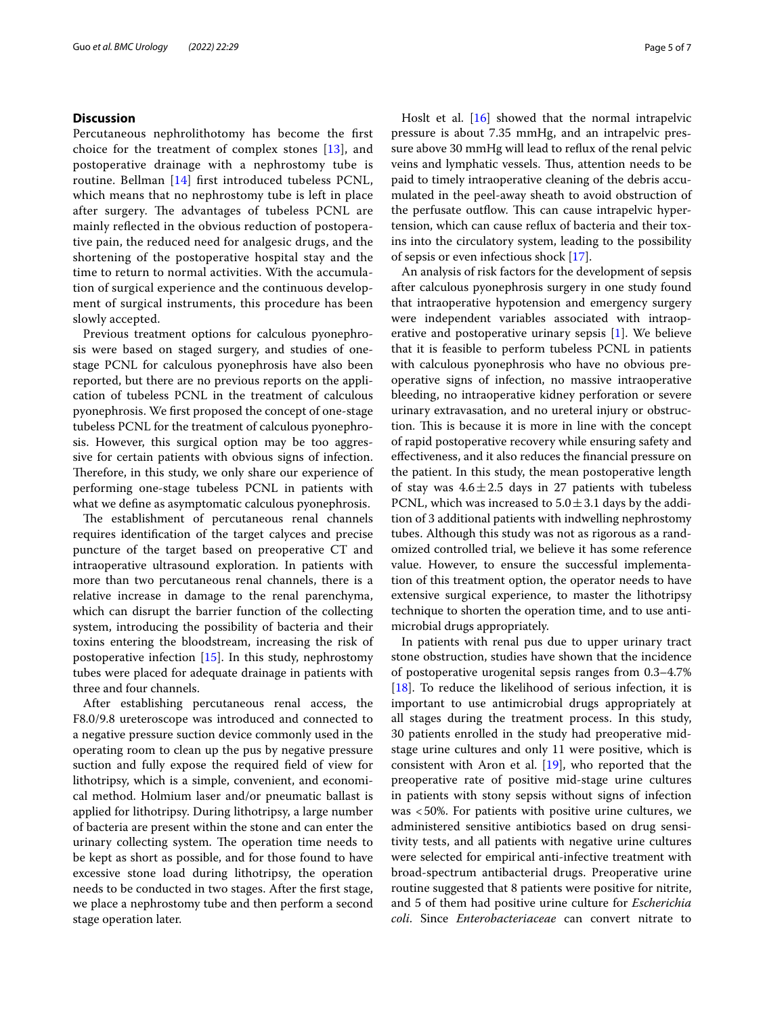## **Discussion**

Percutaneous nephrolithotomy has become the frst choice for the treatment of complex stones [[13](#page-6-7)], and postoperative drainage with a nephrostomy tube is routine. Bellman [[14\]](#page-6-8) frst introduced tubeless PCNL, which means that no nephrostomy tube is left in place after surgery. The advantages of tubeless PCNL are mainly refected in the obvious reduction of postoperative pain, the reduced need for analgesic drugs, and the shortening of the postoperative hospital stay and the time to return to normal activities. With the accumulation of surgical experience and the continuous development of surgical instruments, this procedure has been slowly accepted.

Previous treatment options for calculous pyonephrosis were based on staged surgery, and studies of onestage PCNL for calculous pyonephrosis have also been reported, but there are no previous reports on the application of tubeless PCNL in the treatment of calculous pyonephrosis. We frst proposed the concept of one-stage tubeless PCNL for the treatment of calculous pyonephrosis. However, this surgical option may be too aggressive for certain patients with obvious signs of infection. Therefore, in this study, we only share our experience of performing one-stage tubeless PCNL in patients with what we defne as asymptomatic calculous pyonephrosis.

The establishment of percutaneous renal channels requires identifcation of the target calyces and precise puncture of the target based on preoperative CT and intraoperative ultrasound exploration. In patients with more than two percutaneous renal channels, there is a relative increase in damage to the renal parenchyma, which can disrupt the barrier function of the collecting system, introducing the possibility of bacteria and their toxins entering the bloodstream, increasing the risk of postoperative infection [\[15\]](#page-6-9). In this study, nephrostomy tubes were placed for adequate drainage in patients with three and four channels.

After establishing percutaneous renal access, the F8.0/9.8 ureteroscope was introduced and connected to a negative pressure suction device commonly used in the operating room to clean up the pus by negative pressure suction and fully expose the required feld of view for lithotripsy, which is a simple, convenient, and economical method. Holmium laser and/or pneumatic ballast is applied for lithotripsy. During lithotripsy, a large number of bacteria are present within the stone and can enter the urinary collecting system. The operation time needs to be kept as short as possible, and for those found to have excessive stone load during lithotripsy, the operation needs to be conducted in two stages. After the frst stage, we place a nephrostomy tube and then perform a second stage operation later.

Hoslt et al. [\[16\]](#page-6-10) showed that the normal intrapelvic pressure is about 7.35 mmHg, and an intrapelvic pressure above 30 mmHg will lead to refux of the renal pelvic veins and lymphatic vessels. Thus, attention needs to be paid to timely intraoperative cleaning of the debris accumulated in the peel-away sheath to avoid obstruction of the perfusate outflow. This can cause intrapelvic hypertension, which can cause refux of bacteria and their toxins into the circulatory system, leading to the possibility of sepsis or even infectious shock [[17\]](#page-6-11).

An analysis of risk factors for the development of sepsis after calculous pyonephrosis surgery in one study found that intraoperative hypotension and emergency surgery were independent variables associated with intraoperative and postoperative urinary sepsis [[1\]](#page-5-0). We believe that it is feasible to perform tubeless PCNL in patients with calculous pyonephrosis who have no obvious preoperative signs of infection, no massive intraoperative bleeding, no intraoperative kidney perforation or severe urinary extravasation, and no ureteral injury or obstruction. This is because it is more in line with the concept of rapid postoperative recovery while ensuring safety and efectiveness, and it also reduces the fnancial pressure on the patient. In this study, the mean postoperative length of stay was  $4.6 \pm 2.5$  days in 27 patients with tubeless PCNL, which was increased to  $5.0 \pm 3.1$  days by the addition of 3 additional patients with indwelling nephrostomy tubes. Although this study was not as rigorous as a randomized controlled trial, we believe it has some reference value. However, to ensure the successful implementation of this treatment option, the operator needs to have extensive surgical experience, to master the lithotripsy technique to shorten the operation time, and to use antimicrobial drugs appropriately.

In patients with renal pus due to upper urinary tract stone obstruction, studies have shown that the incidence of postoperative urogenital sepsis ranges from 0.3–4.7% [[18\]](#page-6-12). To reduce the likelihood of serious infection, it is important to use antimicrobial drugs appropriately at all stages during the treatment process. In this study, 30 patients enrolled in the study had preoperative midstage urine cultures and only 11 were positive, which is consistent with Aron et al. [\[19](#page-6-13)], who reported that the preoperative rate of positive mid-stage urine cultures in patients with stony sepsis without signs of infection was <50%. For patients with positive urine cultures, we administered sensitive antibiotics based on drug sensitivity tests, and all patients with negative urine cultures were selected for empirical anti-infective treatment with broad-spectrum antibacterial drugs. Preoperative urine routine suggested that 8 patients were positive for nitrite, and 5 of them had positive urine culture for *Escherichia coli*. Since *Enterobacteriaceae* can convert nitrate to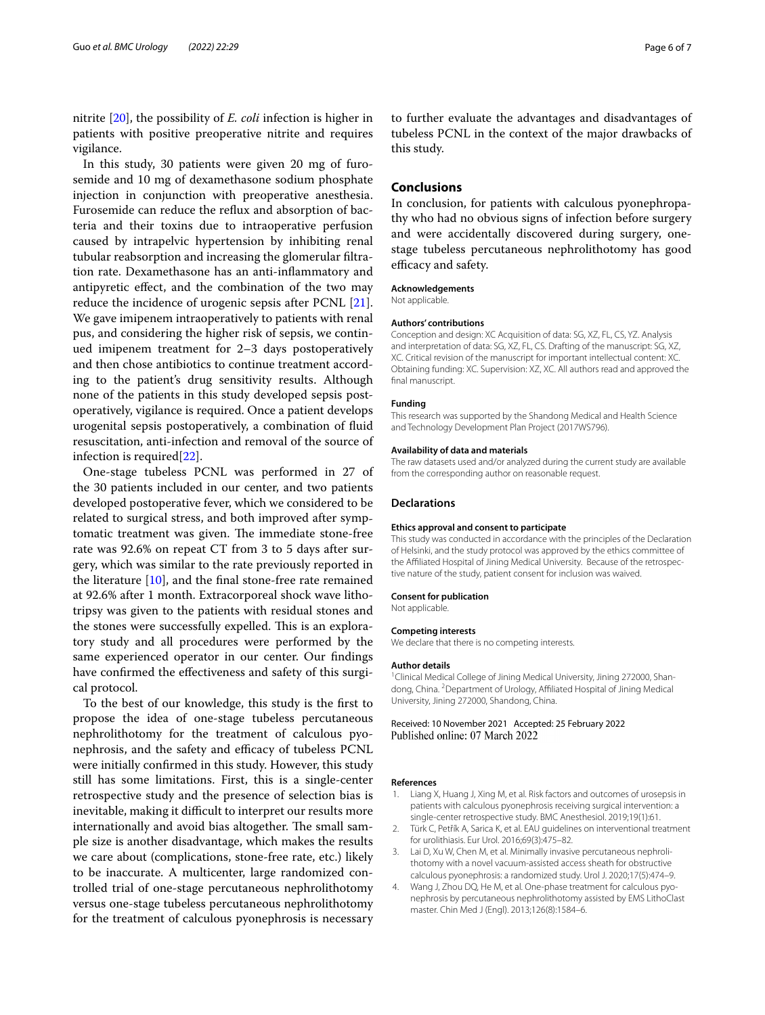nitrite [\[20\]](#page-6-14), the possibility of *E. coli* infection is higher in patients with positive preoperative nitrite and requires vigilance.

In this study, 30 patients were given 20 mg of furosemide and 10 mg of dexamethasone sodium phosphate injection in conjunction with preoperative anesthesia. Furosemide can reduce the refux and absorption of bacteria and their toxins due to intraoperative perfusion caused by intrapelvic hypertension by inhibiting renal tubular reabsorption and increasing the glomerular fltration rate. Dexamethasone has an anti-infammatory and antipyretic efect, and the combination of the two may reduce the incidence of urogenic sepsis after PCNL [\[21](#page-6-15)]. We gave imipenem intraoperatively to patients with renal pus, and considering the higher risk of sepsis, we continued imipenem treatment for 2–3 days postoperatively and then chose antibiotics to continue treatment according to the patient's drug sensitivity results. Although none of the patients in this study developed sepsis postoperatively, vigilance is required. Once a patient develops urogenital sepsis postoperatively, a combination of fuid resuscitation, anti-infection and removal of the source of infection is required[[22](#page-6-16)].

One-stage tubeless PCNL was performed in 27 of the 30 patients included in our center, and two patients developed postoperative fever, which we considered to be related to surgical stress, and both improved after symptomatic treatment was given. The immediate stone-free rate was 92.6% on repeat CT from 3 to 5 days after surgery, which was similar to the rate previously reported in the literature [\[10](#page-6-4)], and the fnal stone-free rate remained at 92.6% after 1 month. Extracorporeal shock wave lithotripsy was given to the patients with residual stones and the stones were successfully expelled. This is an exploratory study and all procedures were performed by the same experienced operator in our center. Our fndings have confirmed the effectiveness and safety of this surgical protocol.

To the best of our knowledge, this study is the frst to propose the idea of one-stage tubeless percutaneous nephrolithotomy for the treatment of calculous pyonephrosis, and the safety and efficacy of tubeless PCNL were initially confrmed in this study. However, this study still has some limitations. First, this is a single-center retrospective study and the presence of selection bias is inevitable, making it difficult to interpret our results more internationally and avoid bias altogether. The small sample size is another disadvantage, which makes the results we care about (complications, stone-free rate, etc.) likely to be inaccurate. A multicenter, large randomized controlled trial of one-stage percutaneous nephrolithotomy versus one-stage tubeless percutaneous nephrolithotomy for the treatment of calculous pyonephrosis is necessary to further evaluate the advantages and disadvantages of tubeless PCNL in the context of the major drawbacks of this study.

## **Conclusions**

In conclusion, for patients with calculous pyonephropathy who had no obvious signs of infection before surgery and were accidentally discovered during surgery, onestage tubeless percutaneous nephrolithotomy has good efficacy and safety.

#### **Acknowledgements**

Not applicable.

#### **Authors' contributions**

Conception and design: XC Acquisition of data: SG, XZ, FL, CS, YZ. Analysis and interpretation of data: SG, XZ, FL, CS. Drafting of the manuscript: SG, XZ, XC. Critical revision of the manuscript for important intellectual content: XC. Obtaining funding: XC. Supervision: XZ, XC. All authors read and approved the final manuscript.

#### **Funding**

This research was supported by the Shandong Medical and Health Science and Technology Development Plan Project (2017WS796).

#### **Availability of data and materials**

The raw datasets used and/or analyzed during the current study are available from the corresponding author on reasonable request.

#### **Declarations**

#### **Ethics approval and consent to participate**

This study was conducted in accordance with the principles of the Declaration of Helsinki, and the study protocol was approved by the ethics committee of the Afliated Hospital of Jining Medical University. Because of the retrospective nature of the study, patient consent for inclusion was waived.

#### **Consent for publication**

#### Not applicable.

#### **Competing interests**

We declare that there is no competing interests.

#### **Author details**

<sup>1</sup> Clinical Medical College of Jining Medical University, Jining 272000, Shandong, China. <sup>2</sup> Department of Urology, Affiliated Hospital of Jining Medical University, Jining 272000, Shandong, China.

#### Received: 10 November 2021 Accepted: 25 February 2022 Published online: 07 March 2022

#### **References**

- <span id="page-5-0"></span>Liang X, Huang J, Xing M, et al. Risk factors and outcomes of urosepsis in patients with calculous pyonephrosis receiving surgical intervention: a single-center retrospective study. BMC Anesthesiol. 2019;19(1):61.
- <span id="page-5-1"></span>2. Türk C, Petřík A, Sarica K, et al. EAU guidelines on interventional treatment for urolithiasis. Eur Urol. 2016;69(3):475–82.
- <span id="page-5-2"></span>3. Lai D, Xu W, Chen M, et al. Minimally invasive percutaneous nephrolithotomy with a novel vacuum-assisted access sheath for obstructive calculous pyonephrosis: a randomized study. Urol J. 2020;17(5):474–9.
- <span id="page-5-3"></span>4. Wang J, Zhou DQ, He M, et al. One-phase treatment for calculous pyonephrosis by percutaneous nephrolithotomy assisted by EMS LithoClast master. Chin Med J (Engl). 2013;126(8):1584–6.